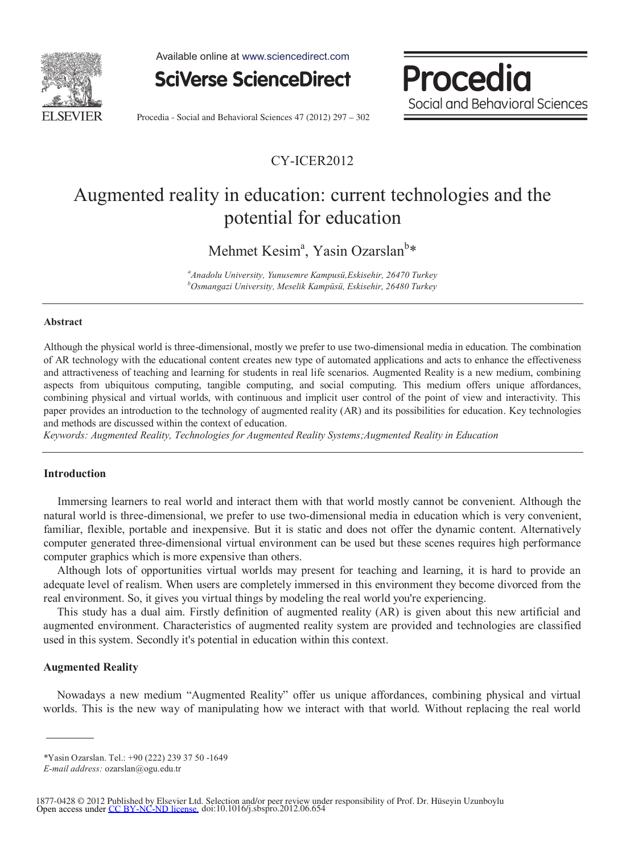

Available online at www.sciencedirect.com



Procedia Social and Behavioral Sciences

Procedia - Social and Behavioral Sciences 47 (2012) 297 – 302

# CY-ICER2012

# Augmented reality in education: current technologies and the potential for education

Mehmet Kesim<sup>a</sup>, Yasin Ozarslan<sup>b</sup>\*

*a Anadolu University, Yunusemre Kampusü,Eskisehir, 26470 Turkey b Osmangazi University, Meselik Kampüsü, Eskisehir, 26480 Turkey* 

#### **Abstract**

Although the physical world is three-dimensional, mostly we prefer to use two-dimensional media in education. The combination of AR technology with the educational content creates new type of automated applications and acts to enhance the effectiveness and attractiveness of teaching and learning for students in real life scenarios. Augmented Reality is a new medium, combining aspects from ubiquitous computing, tangible computing, and social computing. This medium offers unique affordances, combining physical and virtual worlds, with continuous and implicit user control of the point of view and interactivity. This paper provides an introduction to the technology of augmented reality (AR) and its possibilities for education. Key technologies and methods are discussed within the context of education.

*Keywords: Augmented Reality, Technologies for Augmented Reality Systems;Augmented Reality in Education* 

# **Introduction**

Immersing learners to real world and interact them with that world mostly cannot be convenient. Although the natural world is three-dimensional, we prefer to use two-dimensional media in education which is very convenient, familiar, flexible, portable and inexpensive. But it is static and does not offer the dynamic content. Alternatively computer generated three-dimensional virtual environment can be used but these scenes requires high performance computer graphics which is more expensive than others.

Although lots of opportunities virtual worlds may present for teaching and learning, it is hard to provide an adequate level of realism. When users are completely immersed in this environment they become divorced from the real environment. So, it gives you virtual things by modeling the real world you're experiencing.

This study has a dual aim. Firstly definition of augmented reality (AR) is given about this new artificial and augmented environment. Characteristics of augmented reality system are provided and technologies are classified used in this system. Secondly it's potential in education within this context.

#### **Augmented Reality**

Nowadays a new medium "Augmented Reality" offer us unique affordances, combining physical and virtual worlds. This is the new way of manipulating how we interact with that world. Without replacing the real world

<sup>\*</sup>Yasin Ozarslan. Tel.: +90 (222) 239 37 50 -1649

*E-mail address:* ozarslan@ogu.edu.tr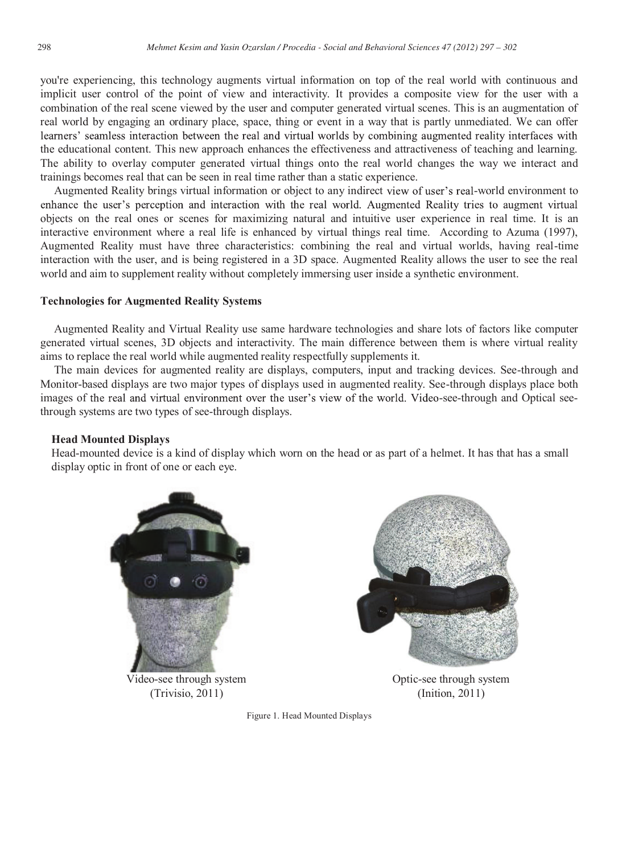you're experiencing, this technology augments virtual information on top of the real world with continuous and implicit user control of the point of view and interactivity. It provides a composite view for the user with a combination of the real scene viewed by the user and computer generated virtual scenes. This is an augmentation of real world by engaging an ordinary place, space, thing or event in a way that is partly unmediated. We can offer learners' seamless interaction between the real and virtual worlds by combining augmented reality interfaces with the educational content. This new approach enhances the effectiveness and attractiveness of teaching and learning. The ability to overlay computer generated virtual things onto the real world changes the way we interact and trainings becomes real that can be seen in real time rather than a static experience.

Augmented Reality brings virtual information or object to any indirect view of user's real-world environment to enhance the user's perception and interaction with the real world. Augmented Reality tries to augment virtual objects on the real ones or scenes for maximizing natural and intuitive user experience in real time. It is an interactive environment where a real life is enhanced by virtual things real time. According to Azuma (1997), Augmented Reality must have three characteristics: combining the real and virtual worlds, having real-time interaction with the user, and is being registered in a 3D space. Augmented Reality allows the user to see the real world and aim to supplement reality without completely immersing user inside a synthetic environment.

#### **Technologies for Augmented Reality Systems**

Augmented Reality and Virtual Reality use same hardware technologies and share lots of factors like computer generated virtual scenes, 3D objects and interactivity. The main difference between them is where virtual reality aims to replace the real world while augmented reality respectfully supplements it.

The main devices for augmented reality are displays, computers, input and tracking devices. See-through and Monitor-based displays are two major types of displays used in augmented reality. See-through displays place both images of the real and virtual environment over the user's view of the world. Video-see-through and Optical seethrough systems are two types of see-through displays.

# **Head Mounted Displays**

Head-mounted device is a kind of display which worn on the head or as part of a helmet. It has that has a small display optic in front of one or each eye.



Video-see through system (Trivisio, 2011)



Figure 1. Head Mounted Displays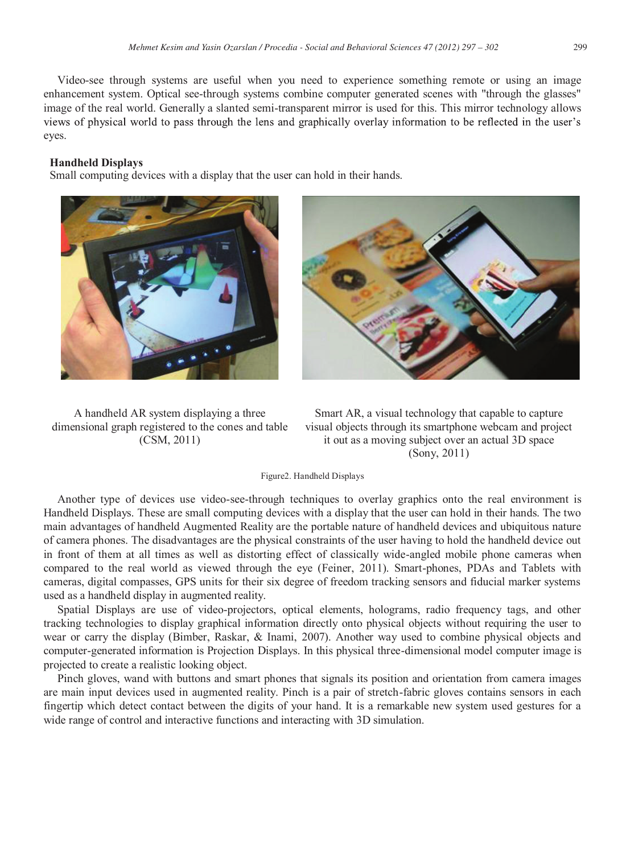Video-see through systems are useful when you need to experience something remote or using an image enhancement system. Optical see-through systems combine computer generated scenes with "through the glasses" image of the real world. Generally a slanted semi-transparent mirror is used for this. This mirror technology allows views of physical world to pass through the lens and graphically overlay information to be reflected in the user's eyes.

#### **Handheld Displays**

Small computing devices with a display that the user can hold in their hands.





A handheld AR system displaying a three dimensional graph registered to the cones and table (CSM, 2011)

Smart AR, a visual technology that capable to capture visual objects through its smartphone webcam and project it out as a moving subject over an actual 3D space (Sony, 2011)

Figure2. Handheld Displays

Another type of devices use video-see-through techniques to overlay graphics onto the real environment is Handheld Displays. These are small computing devices with a display that the user can hold in their hands. The two main advantages of handheld Augmented Reality are the portable nature of handheld devices and ubiquitous nature of camera phones. The disadvantages are the physical constraints of the user having to hold the handheld device out in front of them at all times as well as distorting effect of classically wide-angled mobile phone cameras when compared to the real world as viewed through the eye (Feiner, 2011). Smart-phones, PDAs and Tablets with cameras, digital compasses, GPS units for their six degree of freedom tracking sensors and fiducial marker systems used as a handheld display in augmented reality.

Spatial Displays are use of video-projectors, optical elements, holograms, radio frequency tags, and other tracking technologies to display graphical information directly onto physical objects without requiring the user to wear or carry the display (Bimber, Raskar, & Inami, 2007). Another way used to combine physical objects and computer-generated information is Projection Displays. In this physical three-dimensional model computer image is projected to create a realistic looking object.

Pinch gloves, wand with buttons and smart phones that signals its position and orientation from camera images are main input devices used in augmented reality. Pinch is a pair of stretch-fabric gloves contains sensors in each fingertip which detect contact between the digits of your hand. It is a remarkable new system used gestures for a wide range of control and interactive functions and interacting with 3D simulation.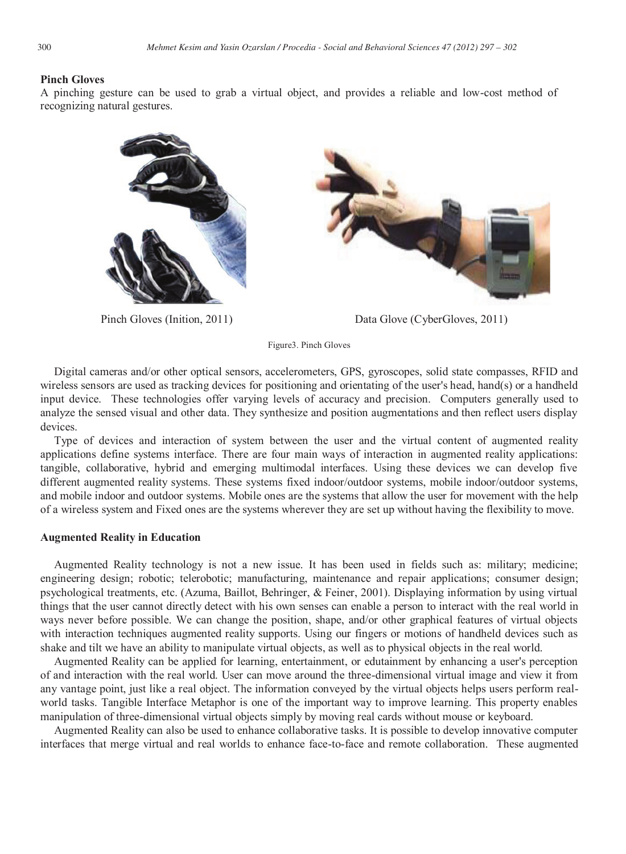#### **Pinch Gloves**

A pinching gesture can be used to grab a virtual object, and provides a reliable and low-cost method of recognizing natural gestures.





Pinch Gloves (Inition, 2011) Data Glove (CyberGloves, 2011)

Figure3. Pinch Gloves

Digital cameras and/or other optical sensors, accelerometers, GPS, gyroscopes, solid state compasses, RFID and wireless sensors are used as tracking devices for positioning and orientating of the user's head, hand(s) or a handheld input device. These technologies offer varying levels of accuracy and precision. Computers generally used to analyze the sensed visual and other data. They synthesize and position augmentations and then reflect users display devices.

Type of devices and interaction of system between the user and the virtual content of augmented reality applications define systems interface. There are four main ways of interaction in augmented reality applications: tangible, collaborative, hybrid and emerging multimodal interfaces. Using these devices we can develop five different augmented reality systems. These systems fixed indoor/outdoor systems, mobile indoor/outdoor systems, and mobile indoor and outdoor systems. Mobile ones are the systems that allow the user for movement with the help of a wireless system and Fixed ones are the systems wherever they are set up without having the flexibility to move.

#### **Augmented Reality in Education**

Augmented Reality technology is not a new issue. It has been used in fields such as: military; medicine; engineering design; robotic; telerobotic; manufacturing, maintenance and repair applications; consumer design; psychological treatments, etc. (Azuma, Baillot, Behringer, & Feiner, 2001). Displaying information by using virtual things that the user cannot directly detect with his own senses can enable a person to interact with the real world in ways never before possible. We can change the position, shape, and/or other graphical features of virtual objects with interaction techniques augmented reality supports. Using our fingers or motions of handheld devices such as shake and tilt we have an ability to manipulate virtual objects, as well as to physical objects in the real world.

Augmented Reality can be applied for learning, entertainment, or edutainment by enhancing a user's perception of and interaction with the real world. User can move around the three-dimensional virtual image and view it from any vantage point, just like a real object. The information conveyed by the virtual objects helps users perform realworld tasks. Tangible Interface Metaphor is one of the important way to improve learning. This property enables manipulation of three-dimensional virtual objects simply by moving real cards without mouse or keyboard.

Augmented Reality can also be used to enhance collaborative tasks. It is possible to develop innovative computer interfaces that merge virtual and real worlds to enhance face-to-face and remote collaboration. These augmented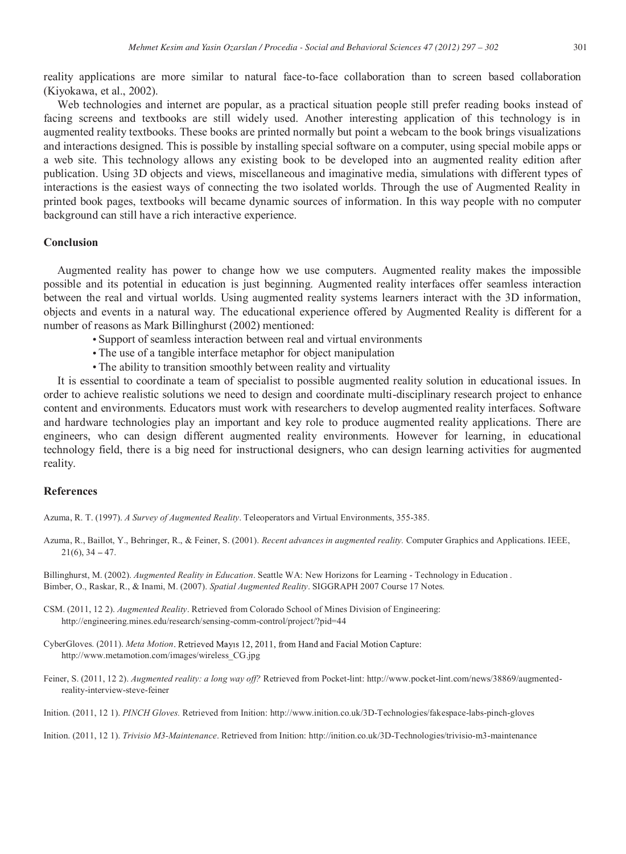Web technologies and internet are popular, as a practical situation people still prefer reading books instead of facing screens and textbooks are still widely used. Another interesting application of this technology is in augmented reality textbooks. These books are printed normally but point a webcam to the book brings visualizations and interactions designed. This is possible by installing special software on a computer, using special mobile apps or a web site. This technology allows any existing book to be developed into an augmented reality edition after publication. Using 3D objects and views, miscellaneous and imaginative media, simulations with different types of interactions is the easiest ways of connecting the two isolated worlds. Through the use of Augmented Reality in printed book pages, textbooks will became dynamic sources of information. In this way people with no computer background can still have a rich interactive experience.

# **Conclusion**

Augmented reality has power to change how we use computers. Augmented reality makes the impossible possible and its potential in education is just beginning. Augmented reality interfaces offer seamless interaction between the real and virtual worlds. Using augmented reality systems learners interact with the 3D information, objects and events in a natural way. The educational experience offered by Augmented Reality is different for a number of reasons as Mark Billinghurst (2002) mentioned:

- Support of seamless interaction between real and virtual environments
- The use of a tangible interface metaphor for object manipulation
- The ability to transition smoothly between reality and virtuality

It is essential to coordinate a team of specialist to possible augmented reality solution in educational issues. In order to achieve realistic solutions we need to design and coordinate multi-disciplinary research project to enhance content and environments. Educators must work with researchers to develop augmented reality interfaces. Software and hardware technologies play an important and key role to produce augmented reality applications. There are engineers, who can design different augmented reality environments. However for learning, in educational technology field, there is a big need for instructional designers, who can design learning activities for augmented reality.

### **References**

Azuma, R. T. (1997). *A Survey of Augmented Reality*. Teleoperators and Virtual Environments, 355-385.

Azuma, R., Baillot, Y., Behringer, R., & Feiner, S. (2001). *Recent advances in augmented reality.* Computer Graphics and Applications. IEEE,  $21(6)$ ,  $34 - 47$ .

Billinghurst, M. (2002). *Augmented Reality in Education*. Seattle WA: New Horizons for Learning - Technology in Education . Bimber, O., Raskar, R., & Inami, M. (2007). *Spatial Augmented Reality*. SIGGRAPH 2007 Course 17 Notes.

- CSM. (2011, 12 2). *Augmented Reality*. Retrieved from Colorado School of Mines Division of Engineering: http://engineering.mines.edu/research/sensing-comm-control/project/?pid=44
- CyberGloves. (2011). *Meta Motion* http://www.metamotion.com/images/wireless\_CG.jpg
- Feiner, S. (2011, 12 2). *Augmented reality: a long way off?* Retrieved from Pocket-lint: http://www.pocket-lint.com/news/38869/augmentedreality-interview-steve-feiner
- Inition. (2011, 12 1). *PINCH Gloves.* Retrieved from Inition: http://www.inition.co.uk/3D-Technologies/fakespace-labs-pinch-gloves

Inition. (2011, 12 1). *Trivisio M3-Maintenance*. Retrieved from Inition: http://inition.co.uk/3D-Technologies/trivisio-m3-maintenance